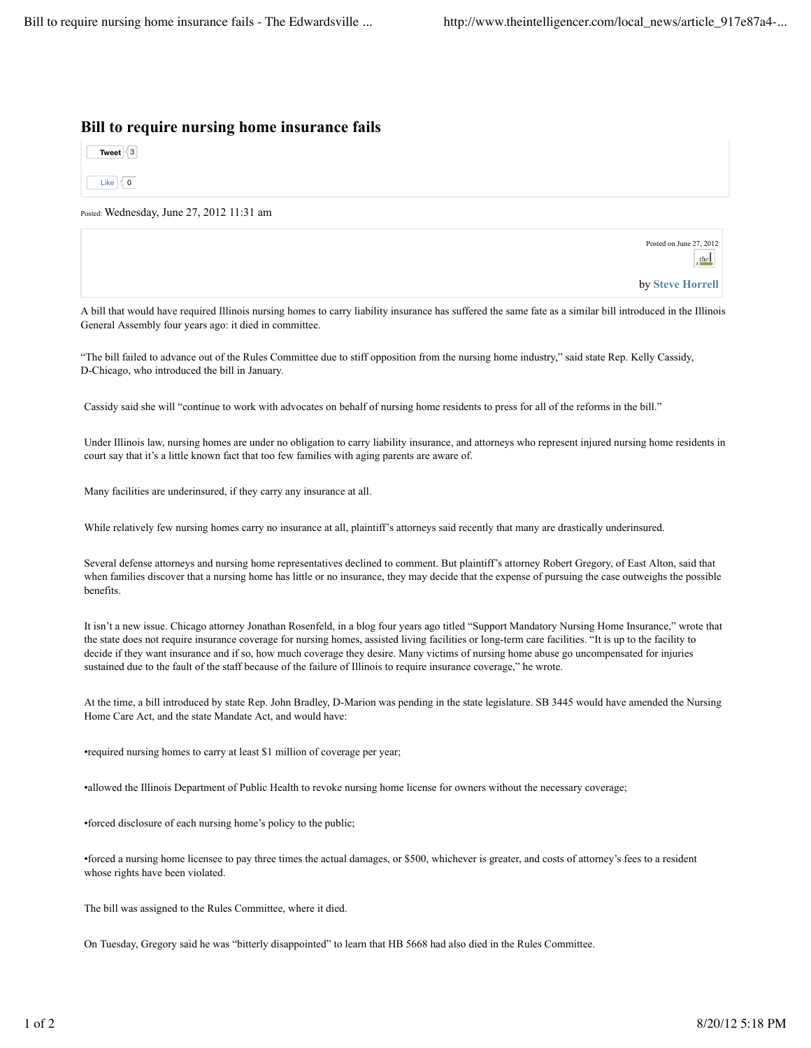## **Bill to require nursing home insurance fails**

| <b>Tweet</b> |  |
|--------------|--|
|              |  |
| like         |  |

Posted: Wednesday, June 27, 2012 11:31 am

Posted on June 27, 2012  $the$ by **Steve Horrell**

A bill that would have required Illinois nursing homes to carry liability insurance has suffered the same fate as a similar bill introduced in the Illinois General Assembly four years ago: it died in committee.

"The bill failed to advance out of the Rules Committee due to stiff opposition from the nursing home industry," said state Rep. Kelly Cassidy, D-Chicago, who introduced the bill in January.

Cassidy said she will "continue to work with advocates on behalf of nursing home residents to press for all of the reforms in the bill."

Under Illinois law, nursing homes are under no obligation to carry liability insurance, and attorneys who represent injured nursing home residents in court say that it's a little known fact that too few families with aging parents are aware of.

Many facilities are underinsured, if they carry any insurance at all.

While relatively few nursing homes carry no insurance at all, plaintiff's attorneys said recently that many are drastically underinsured.

Several defense attorneys and nursing home representatives declined to comment. But plaintiff's attorney Robert Gregory, of East Alton, said that when families discover that a nursing home has little or no insurance, they may decide that the expense of pursuing the case outweighs the possible benefits.

It isn't a new issue. Chicago attorney Jonathan Rosenfeld, in a blog four years ago titled "Support Mandatory Nursing Home Insurance," wrote that the state does not require insurance coverage for nursing homes, assisted living facilities or long-term care facilities. "It is up to the facility to decide if they want insurance and if so, how much coverage they desire. Many victims of nursing home abuse go uncompensated for injuries sustained due to the fault of the staff because of the failure of Illinois to require insurance coverage," he wrote.

At the time, a bill introduced by state Rep. John Bradley, D-Marion was pending in the state legislature. SB 3445 would have amended the Nursing Home Care Act, and the state Mandate Act, and would have:

•required nursing homes to carry at least \$1 million of coverage per year;

•allowed the Illinois Department of Public Health to revoke nursing home license for owners without the necessary coverage;

•forced disclosure of each nursing home's policy to the public;

•forced a nursing home licensee to pay three times the actual damages, or \$500, whichever is greater, and costs of attorney's fees to a resident whose rights have been violated.

The bill was assigned to the Rules Committee, where it died.

On Tuesday, Gregory said he was "bitterly disappointed" to learn that HB 5668 had also died in the Rules Committee.